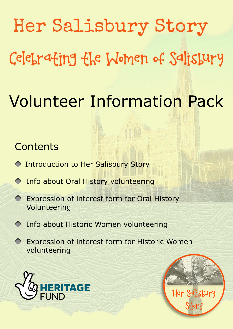# Her Salisbury Story Celebrating the Women of Salisbury Volunteer Information Pack

# **Contents**

- **O Introduction to Her Salisbury Story**
- Info about Oral History volunteering
- Expression of interest form for Oral History Volunteering
- Info about Historic Women volunteering
- Expression of interest form for Historic Women volunteering





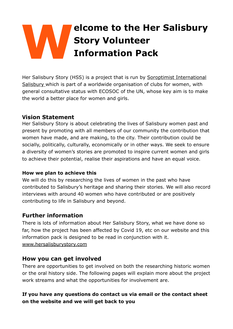# **Welcome to the Her Salisbury Story Volunteer Information Pack**

Her Salisbury Story (HSS) is a project that is run by [Soroptimist International](https://sigbi.org/salisbury/)  [Salisbury](https://sigbi.org/salisbury/) which is part of a worldwide organisation of clubs for women, with general consultative status with ECOSOC of the UN, whose key aim is to make the world a better place for women and girls.

#### **Vision Statement**

Her Salisbury Story is about celebrating the lives of Salisbury women past and present by promoting with all members of our community the contribution that women have made, and are making, to the city. Their contribution could be socially, politically, culturally, economically or in other ways. We seek to ensure a diversity of women's stories are promoted to inspire current women and girls to achieve their potential, realise their aspirations and have an equal voice.

#### **How we plan to achieve this**

We will do this by researching the lives of women in the past who have contributed to Salisbury's heritage and sharing their stories. We will also record interviews with around 40 women who have contributed or are positively contributing to life in Salisbury and beyond.

#### **Further information**

There is lots of information about Her Salisbury Story, what we have done so far, how the project has been affected by Covid 19, etc on our website and this information pack is designed to be read in conjunction with it. [www.hersalisburystory.com](http://www.hersalisburystory.com)

#### **How you can get involved**

There are opportunities to get involved on both the researching historic women or the oral history side. The following pages will explain more about the project work streams and what the opportunities for involvement are.

#### **If you have any questions do contact us via email or the contact sheet on the website and we will get back to you**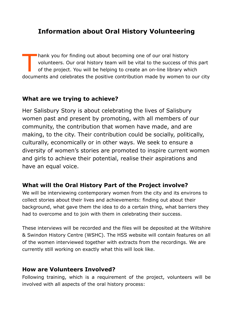## **Information about Oral History Volunteering**

T hank you for finding out about becoming one of our oral history<br>volunteers. Our oral history team will be vital to the success of t<br>of the project. You will be helping to create an on-line library wh volunteers. Our oral history team will be vital to the success of this part of the project. You will be helping to create an on-line library which documents and celebrates the positive contribution made by women to our city

#### **What are we trying to achieve?**

Her Salisbury Story is about celebrating the lives of Salisbury women past and present by promoting, with all members of our community, the contribution that women have made, and are making, to the city. Their contribution could be socially, politically, culturally, economically or in other ways. We seek to ensure a diversity of women's stories are promoted to inspire current women and girls to achieve their potential, realise their aspirations and have an equal voice.

#### **What will the Oral History Part of the Project involve?**

We will be interviewing contemporary women from the city and its environs to collect stories about their lives and achievements: finding out about their background, what gave them the idea to do a certain thing, what barriers they had to overcome and to join with them in celebrating their success.

These interviews will be recorded and the files will be deposited at the Wiltshire & Swindon History Centre (WSHC). The HSS website will contain features on all of the women interviewed together with extracts from the recordings. We are currently still working on exactly what this will look like.

#### **How are Volunteers Involved?**

Following training, which is a requirement of the project, volunteers will be involved with all aspects of the oral history process: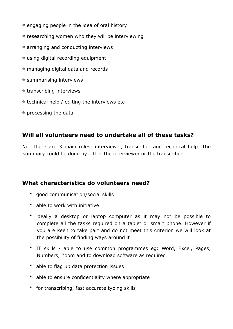- engaging people in the idea of oral history
- researching women who they will be interviewing
- arranging and conducting interviews
- using digital recording equipment
- managing digital data and records
- summarising interviews
- transcribing interviews
- technical help / editing the interviews etc
- processing the data

#### **Will all volunteers need to undertake all of these tasks?**

No. There are 3 main roles: interviewer, transcriber and technical help. The summary could be done by either the interviewer or the transcriber.

#### **What characteristics do volunteers need?**

- good communication/social skills
- able to work with initiative
- ideally a desktop or laptop computer as it may not be possible to complete all the tasks required on a tablet or smart phone. However if you are keen to take part and do not meet this criterion we will look at the possibility of finding ways around it
- IT skills able to use common programmes eg: Word, Excel, Pages, Numbers, Zoom and to download software as required
- able to flag up data protection issues
- able to ensure confidentiality where appropriate
- for transcribing, fast accurate typing skills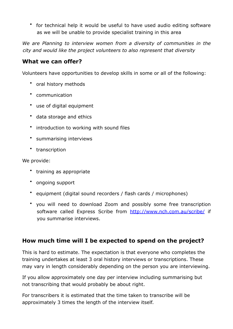• for technical help it would be useful to have used audio editing software as we will be unable to provide specialist training in this area

We are Planning to interview women from a diversity of communities in the *city and would like the project volunteers to also represent that diversity* 

#### **What we can offer?**

Volunteers have opportunities to develop skills in some or all of the following:

- oral history methods
- communication
- use of digital equipment
- data storage and ethics
- introduction to working with sound files
- summarising interviews
- transcription

We provide:

- training as appropriate
- ongoing support
- equipment (digital sound recorders / flash cards / microphones)
- you will need to download Zoom and possibly some free transcription software called Express Scribe from <http://www.nch.com.au/scribe/> if you summarise interviews.

#### **How much time will I be expected to spend on the project?**

This is hard to estimate. The expectation is that everyone who completes the training undertakes at least 3 oral history interviews or transcriptions. These may vary in length considerably depending on the person you are interviewing.

If you allow approximately one day per interview including summarising but not transcribing that would probably be about right.

For transcribers it is estimated that the time taken to transcribe will be approximately 3 times the length of the interview itself.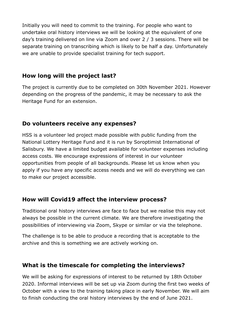Initially you will need to commit to the training. For people who want to undertake oral history interviews we will be looking at the equivalent of one day's training delivered on line via Zoom and over 2 / 3 sessions. There will be separate training on transcribing which is likely to be half a day. Unfortunately we are unable to provide specialist training for tech support.

#### **How long will the project last?**

The project is currently due to be completed on 30th November 2021. However depending on the progress of the pandemic, it may be necessary to ask the Heritage Fund for an extension.

#### **Do volunteers receive any expenses?**

HSS is a volunteer led project made possible with public funding from the National Lottery Heritage Fund and it is run by Soroptimist International of Salisbury. We have a limited budget available for volunteer expenses including access costs. We encourage expressions of interest in our volunteer opportunities from people of all backgrounds. Please let us know when you apply if you have any specific access needs and we will do everything we can to make our project accessible.

#### **How will Covid19 affect the interview process?**

Traditional oral history interviews are face to face but we realise this may not always be possible in the current climate. We are therefore investigating the possibilities of interviewing via Zoom, Skype or similar or via the telephone.

The challenge is to be able to produce a recording that is acceptable to the archive and this is something we are actively working on.

#### **What is the timescale for completing the interviews?**

We will be asking for expressions of interest to be returned by 18th October 2020. Informal interviews will be set up via Zoom during the first two weeks of October with a view to the training taking place in early November. We will aim to finish conducting the oral history interviews by the end of June 2021.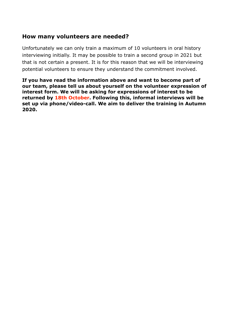#### **How many volunteers are needed?**

Unfortunately we can only train a maximum of 10 volunteers in oral history interviewing initially. It may be possible to train a second group in 2021 but that is not certain a present. It is for this reason that we will be interviewing potential volunteers to ensure they understand the commitment involved.

**If you have read the information above and want to become part of our team, please tell us about yourself on the volunteer expression of interest form. We will be asking for expressions of interest to be returned by 18th October. Following this, informal interviews will be set up via phone/video-call. We aim to deliver the training in Autumn 2020.**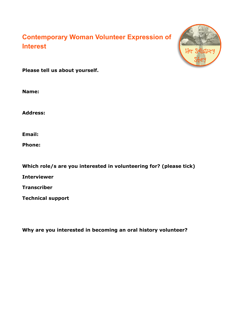# **Contemporary Woman Volunteer Expression of Interest**



**Please tell us about yourself.** 

**Name:** 

**Address:** 

**Email:** 

**Phone:** 

**Which role/s are you interested in volunteering for? (please tick) Interviewer Transcriber Technical support** 

**Why are you interested in becoming an oral history volunteer?**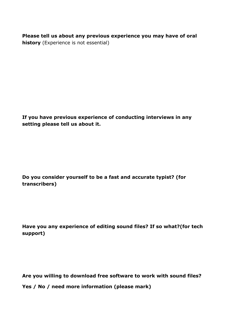**Please tell us about any previous experience you may have of oral history** (Experience is not essential)

**If you have previous experience of conducting interviews in any setting please tell us about it.** 

**Do you consider yourself to be a fast and accurate typist? (for transcribers)** 

**Have you any experience of editing sound files? If so what?(for tech support)** 

**Are you willing to download free software to work with sound files? Yes / No / need more information (please mark)**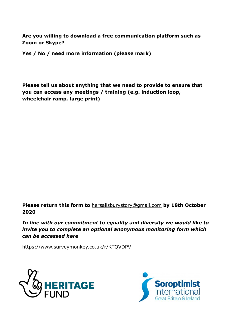**Are you willing to download a free communication platform such as Zoom or Skype?** 

**Yes / No / need more information (please mark)** 

**Please tell us about anything that we need to provide to ensure that you can access any meetings / training (e.g. induction loop, wheelchair ramp, large print)** 

**Please return this form to** [hersalisburystory@gmail.com](mailto:hersalisburystory@gmail.com) **by 18th October 2020** 

*In line with our commitment to equality and diversity we would like to invite you to complete an optional anonymous monitoring form which can be accessed here* 

<https://www.surveymonkey.co.uk/r/KTQVDPV>



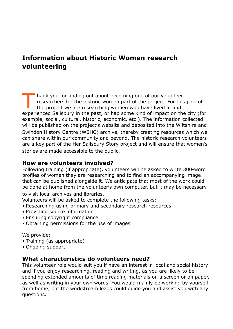### **Information about Historic Women research volunteering**

T hank you for finding out about becoming one of our volunteer<br>researchers for the historic women part of the project. For this<br>the project we are researching women who have lived in and researchers for the historic women part of the project. For this part of the project we are researching women who have lived in and experienced Salisbury in the past, or had some kind of impact on the city (for example, social, cultural, historic, economic, etc.). The information collected will be published on the project's website and deposited into the Wiltshire and Swindon History Centre (WSHC) archive, thereby creating resources which we can share within our community and beyond. The historic research volunteers are a key part of the Her Salisbury Story project and will ensure that women's stories are made accessible to the public.

#### **How are volunteers involved?**

Following training (if appropriate), volunteers will be asked to write 300-word profiles of women they are researching and to find an accompanying image that can be published alongside it. We anticipate that most of the work could be done at home from the volunteer's own computer, but it may be necessary

to visit local archives and libraries.

Volunteers will be asked to complete the following tasks:

- Researching using primary and secondary research resources
- Providing source information
- Ensuring copyright compliance
- Obtaining permissions for the use of images

We provide:

- Training (as appropriate)
- Ongoing support

#### **What characteristics do volunteers need?**

This volunteer role would suit you if have an interest in local and social history and if you enjoy researching, reading and writing, as you are likely to be spending extended amounts of time reading materials on a screen or on paper, as well as writing in your own words. You would mainly be working by yourself from home, but the workstream leads could guide you and assist you with any questions.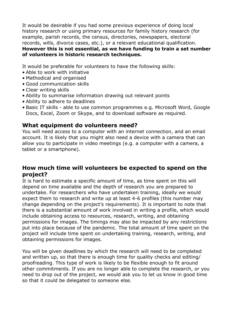It would be desirable if you had some previous experience of doing local history research or using primary resources for family history research (for example, parish records, the census, directories, newspapers, electoral records, wills, divorce cases, etc.), or a relevant educational qualification. **However this is not essential, as we have funding to train a set number of volunteers in historic research techniques.** 

It would be preferable for volunteers to have the following skills:

- Able to work with initiative
- Methodical and organised
- Good communication skills
- Clear writing skills
- Ability to summarise information drawing out relevant points
- Ability to adhere to deadlines
- Basic IT skills able to use common programmes e.g. Microsoft Word, Google Docs, Excel, Zoom or Skype, and to download software as required.

#### **What equipment do volunteers need?**

You will need access to a computer with an internet connection, and an email account. It is likely that you might also need a device with a camera that can allow you to participate in video meetings (e.g. a computer with a camera, a tablet or a smartphone).

#### **How much time will volunteers be expected to spend on the project?**

It is hard to estimate a specific amount of time, as time spent on this will depend on time available and the depth of research you are prepared to undertake. For researchers who have undertaken training, ideally we would expect them to research and write up at least 4-6 profiles (this number may change depending on the project's requirements). It is important to note that there is a substantial amount of work involved in writing a profile, which would include obtaining access to resources, research, writing, and obtaining permissions for images. The timings may also be impacted by any restrictions put into place because of the pandemic. The total amount of time spent on the project will include time spent on undertaking training, research, writing, and obtaining permissions for images.

You will be given deadlines by which the research will need to be completed and written up, so that there is enough time for quality checks and editing/ proofreading. This type of work is likely to be flexible enough to fit around other commitments. If you are no longer able to complete the research, or you need to drop out of the project, we would ask you to let us know in good time so that it could be delegated to someone else.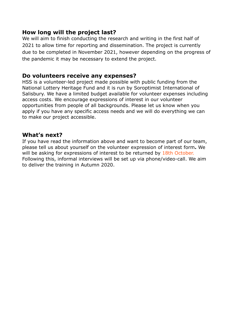#### **How long will the project last?**

We will aim to finish conducting the research and writing in the first half of 2021 to allow time for reporting and dissemination. The project is currently due to be completed in November 2021, however depending on the progress of the pandemic it may be necessary to extend the project.

#### **Do volunteers receive any expenses?**

HSS is a volunteer-led project made possible with public funding from the National Lottery Heritage Fund and it is run by Soroptimist International of Salisbury. We have a limited budget available for volunteer expenses including access costs. We encourage expressions of interest in our volunteer opportunities from people of all backgrounds. Please let us know when you apply if you have any specific access needs and we will do everything we can to make our project accessible.

#### **What's next?**

If you have read the information above and want to become part of our team, please tell us about yourself on the volunteer expression of interest form**.** We will be asking for expressions of interest to be returned by 18th October. Following this, informal interviews will be set up via phone/video-call. We aim to deliver the training in Autumn 2020.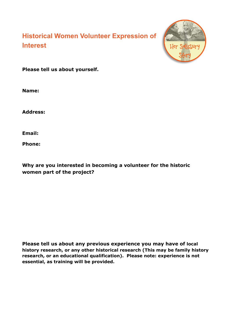# **Historical Women Volunteer Expression of Interest**



**Please tell us about yourself.** 

**Name:** 

**Address:** 

**Email:** 

**Phone:** 

**Why are you interested in becoming a volunteer for the historic women part of the project?** 

**Please tell us about any previous experience you may have of local history research, or any other historical research (This may be family history research, or an educational qualification). Please note: experience is not essential, as training will be provided.**